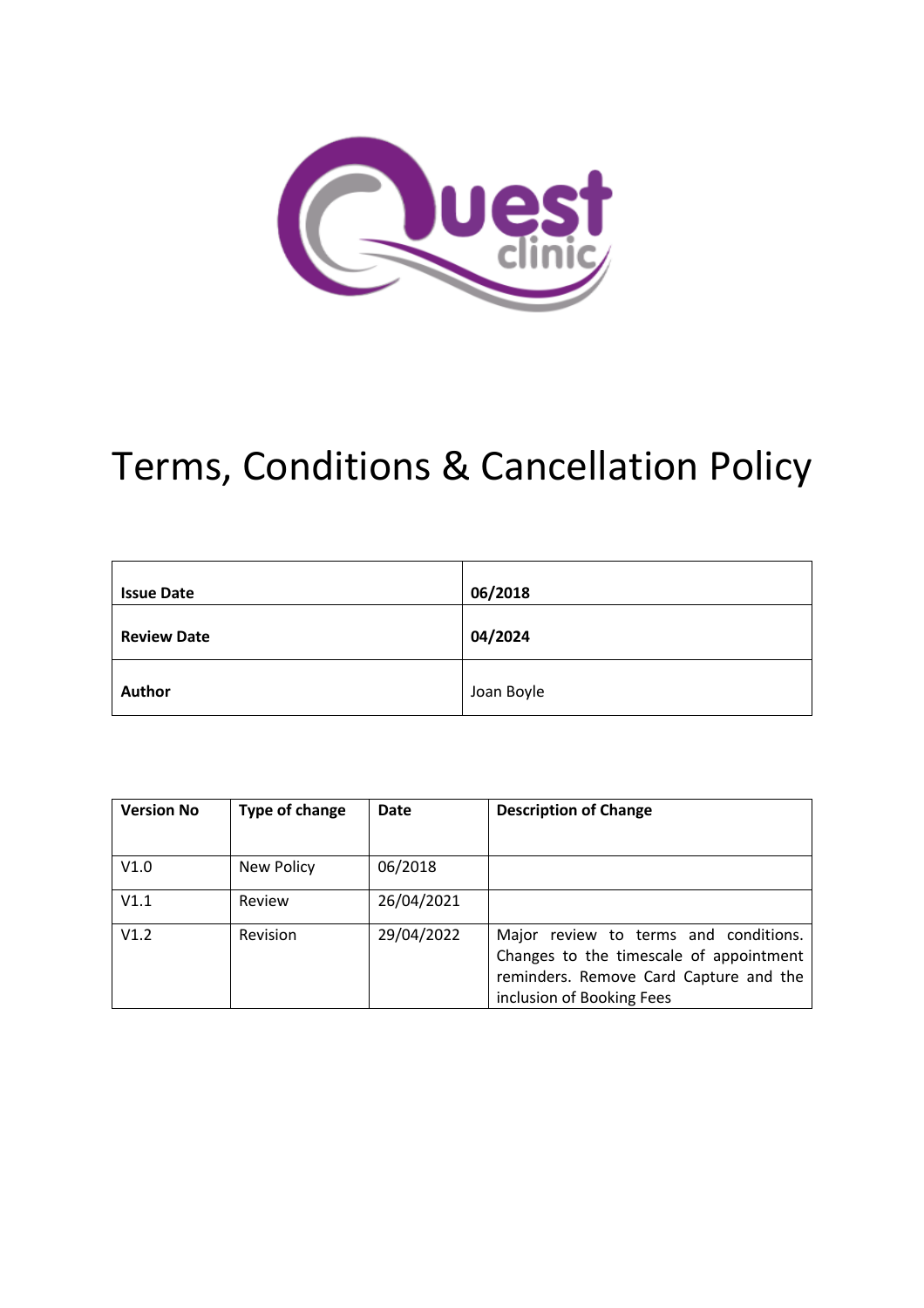

# Terms, Conditions & Cancellation Policy

| <b>Issue Date</b>  | 06/2018    |
|--------------------|------------|
| <b>Review Date</b> | 04/2024    |
| Author             | Joan Boyle |

| <b>Version No</b> | Type of change | Date       | <b>Description of Change</b>                                                                                                                            |  |
|-------------------|----------------|------------|---------------------------------------------------------------------------------------------------------------------------------------------------------|--|
|                   |                |            |                                                                                                                                                         |  |
| V1.0              | New Policy     | 06/2018    |                                                                                                                                                         |  |
| V1.1              | Review         | 26/04/2021 |                                                                                                                                                         |  |
| V1.2              | Revision       | 29/04/2022 | Major review to terms and conditions.<br>Changes to the timescale of appointment<br>reminders. Remove Card Capture and the<br>inclusion of Booking Fees |  |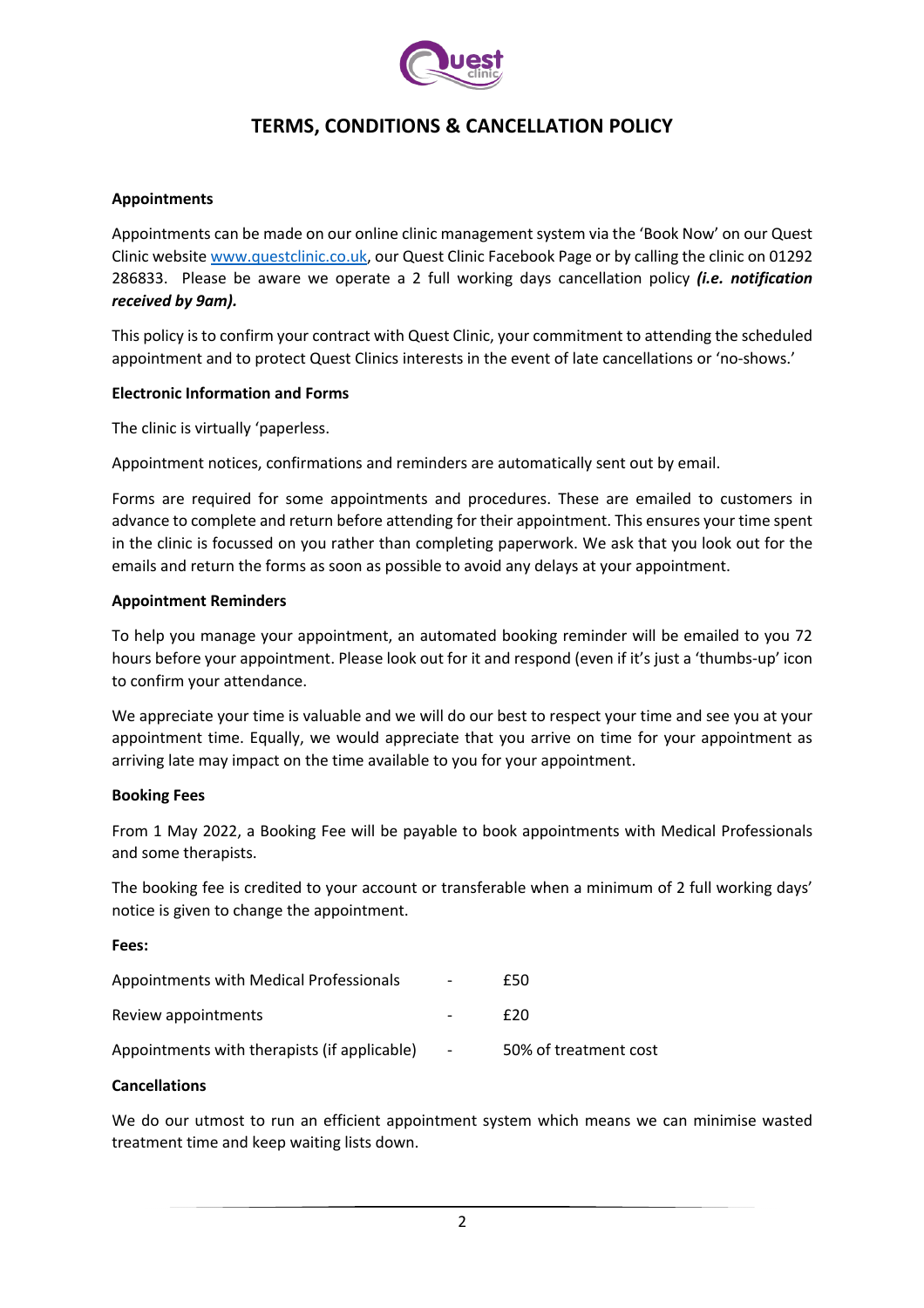

# **TERMS, CONDITIONS & CANCELLATION POLICY**

## **Appointments**

Appointments can be made on our online clinic management system via the 'Book Now' on our Quest Clinic website www.questclinic.co.uk, our Quest Clinic Facebook Page or by calling the clinic on 01292 286833. Please be aware we operate a 2 full working days cancellation policy *(i.e. notification received by 9am).* 

This policy is to confirm your contract with Quest Clinic, your commitment to attending the scheduled appointment and to protect Quest Clinics interests in the event of late cancellations or 'no-shows.'

#### **Electronic Information and Forms**

The clinic is virtually 'paperless.

Appointment notices, confirmations and reminders are automatically sent out by email.

Forms are required for some appointments and procedures. These are emailed to customers in advance to complete and return before attending for their appointment. This ensures your time spent in the clinic is focussed on you rather than completing paperwork. We ask that you look out for the emails and return the forms as soon as possible to avoid any delays at your appointment.

#### **Appointment Reminders**

To help you manage your appointment, an automated booking reminder will be emailed to you 72 hours before your appointment. Please look out for it and respond (even if it's just a 'thumbs-up' icon to confirm your attendance.

We appreciate your time is valuable and we will do our best to respect your time and see you at your appointment time. Equally, we would appreciate that you arrive on time for your appointment as arriving late may impact on the time available to you for your appointment.

#### **Booking Fees**

From 1 May 2022, a Booking Fee will be payable to book appointments with Medical Professionals and some therapists.

The booking fee is credited to your account or transferable when a minimum of 2 full working days' notice is given to change the appointment.

#### **Fees:**

| Appointments with Medical Professionals      | $\overline{\phantom{0}}$ | £50                   |
|----------------------------------------------|--------------------------|-----------------------|
| Review appointments                          | $\overline{\phantom{0}}$ | £20                   |
| Appointments with therapists (if applicable) | $\overline{\phantom{a}}$ | 50% of treatment cost |

#### **Cancellations**

We do our utmost to run an efficient appointment system which means we can minimise wasted treatment time and keep waiting lists down.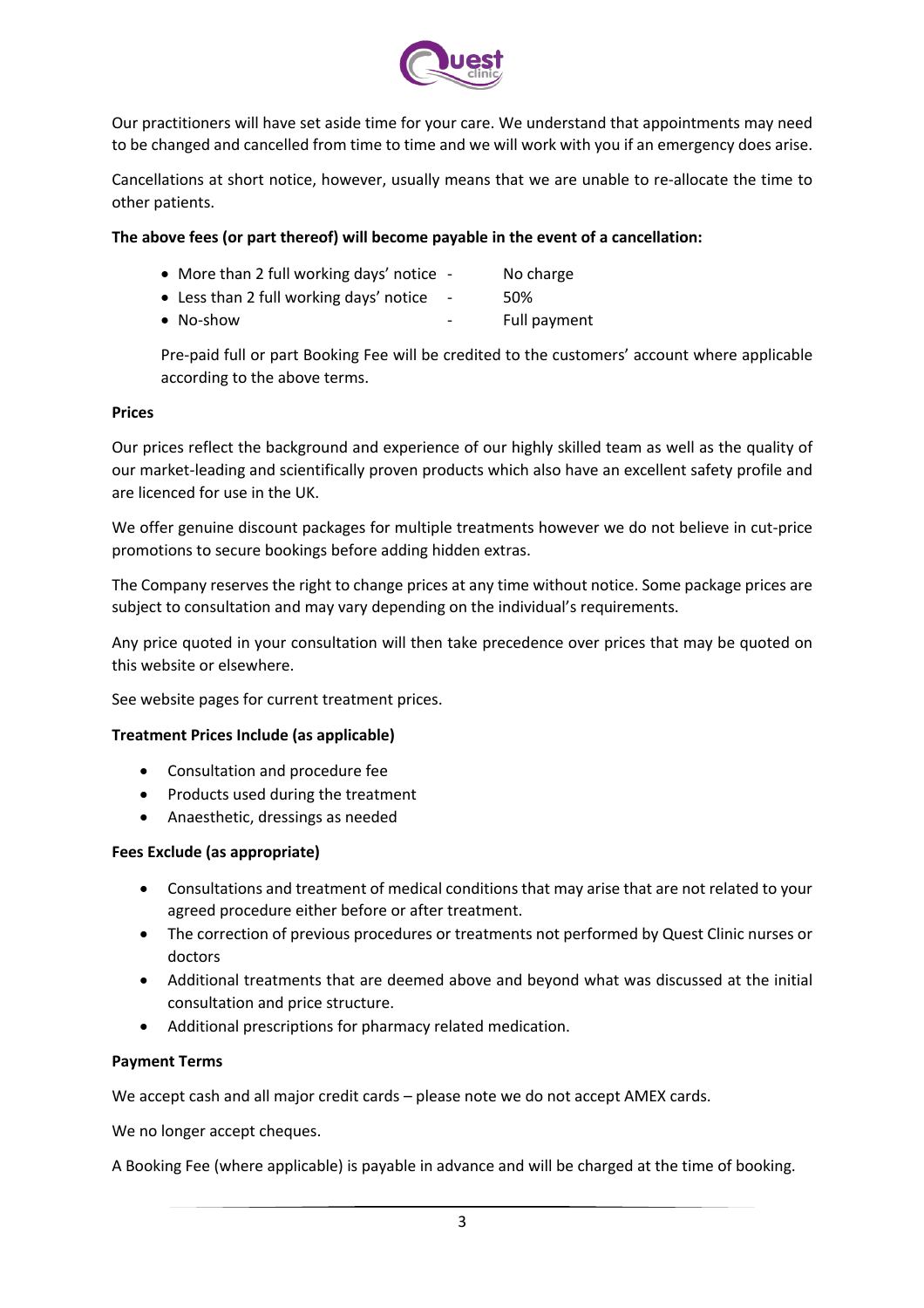

Our practitioners will have set aside time for your care. We understand that appointments may need to be changed and cancelled from time to time and we will work with you if an emergency does arise.

Cancellations at short notice, however, usually means that we are unable to re-allocate the time to other patients.

# **The above fees (or part thereof) will become payable in the event of a cancellation:**

- More than 2 full working days' notice No charge
- Less than 2 full working days' notice 50%
- No-show **-** Full payment

Pre-paid full or part Booking Fee will be credited to the customers' account where applicable according to the above terms.

# **Prices**

Our prices reflect the background and experience of our highly skilled team as well as the quality of our market-leading and scientifically proven products which also have an excellent safety profile and are licenced for use in the UK.

We offer genuine discount packages for multiple treatments however we do not believe in cut-price promotions to secure bookings before adding hidden extras.

The Company reserves the right to change prices at any time without notice. Some package prices are subject to consultation and may vary depending on the individual's requirements.

Any price quoted in your consultation will then take precedence over prices that may be quoted on this website or elsewhere.

See website pages for current treatment prices.

# **Treatment Prices Include (as applicable)**

- Consultation and procedure fee
- Products used during the treatment
- Anaesthetic, dressings as needed

#### **Fees Exclude (as appropriate)**

- Consultations and treatment of medical conditions that may arise that are not related to your agreed procedure either before or after treatment.
- The correction of previous procedures or treatments not performed by Quest Clinic nurses or doctors
- Additional treatments that are deemed above and beyond what was discussed at the initial consultation and price structure.
- Additional prescriptions for pharmacy related medication.

#### **Payment Terms**

We accept cash and all major credit cards – please note we do not accept AMEX cards.

We no longer accept cheques.

A Booking Fee (where applicable) is payable in advance and will be charged at the time of booking.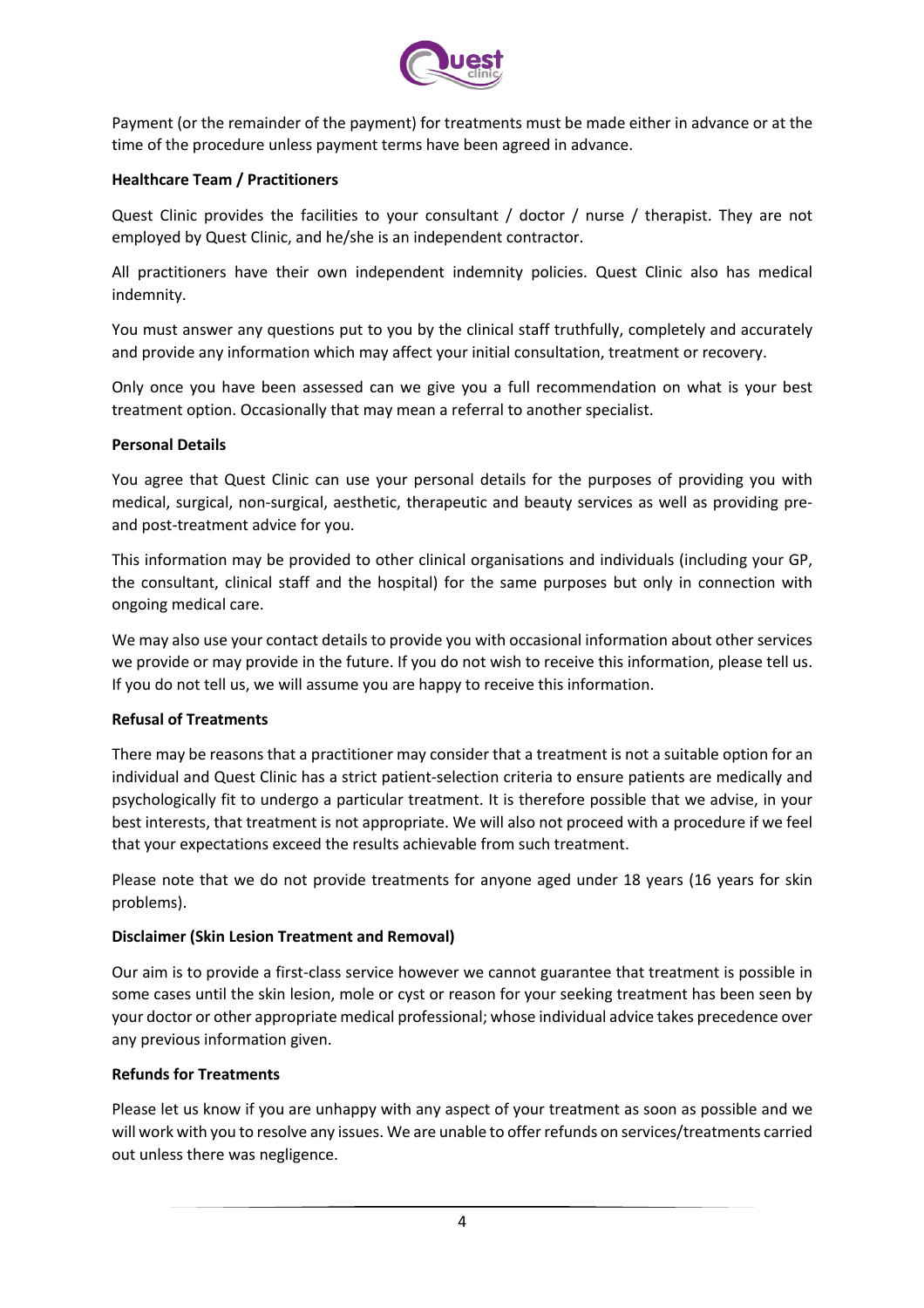

Payment (or the remainder of the payment) for treatments must be made either in advance or at the time of the procedure unless payment terms have been agreed in advance.

# **Healthcare Team / Practitioners**

Quest Clinic provides the facilities to your consultant / doctor / nurse / therapist. They are not employed by Quest Clinic, and he/she is an independent contractor.

All practitioners have their own independent indemnity policies. Quest Clinic also has medical indemnity.

You must answer any questions put to you by the clinical staff truthfully, completely and accurately and provide any information which may affect your initial consultation, treatment or recovery.

Only once you have been assessed can we give you a full recommendation on what is your best treatment option. Occasionally that may mean a referral to another specialist.

#### **Personal Details**

You agree that Quest Clinic can use your personal details for the purposes of providing you with medical, surgical, non-surgical, aesthetic, therapeutic and beauty services as well as providing preand post-treatment advice for you.

This information may be provided to other clinical organisations and individuals (including your GP, the consultant, clinical staff and the hospital) for the same purposes but only in connection with ongoing medical care.

We may also use your contact details to provide you with occasional information about other services we provide or may provide in the future. If you do not wish to receive this information, please tell us. If you do not tell us, we will assume you are happy to receive this information.

#### **Refusal of Treatments**

There may be reasons that a practitioner may consider that a treatment is not a suitable option for an individual and Quest Clinic has a strict patient-selection criteria to ensure patients are medically and psychologically fit to undergo a particular treatment. It is therefore possible that we advise, in your best interests, that treatment is not appropriate. We will also not proceed with a procedure if we feel that your expectations exceed the results achievable from such treatment.

Please note that we do not provide treatments for anyone aged under 18 years (16 years for skin problems).

#### **Disclaimer (Skin Lesion Treatment and Removal)**

Our aim is to provide a first-class service however we cannot guarantee that treatment is possible in some cases until the skin lesion, mole or cyst or reason for your seeking treatment has been seen by your doctor or other appropriate medical professional; whose individual advice takes precedence over any previous information given.

#### **Refunds for Treatments**

Please let us know if you are unhappy with any aspect of your treatment as soon as possible and we will work with you to resolve any issues. We are unable to offer refunds on services/treatments carried out unless there was negligence.